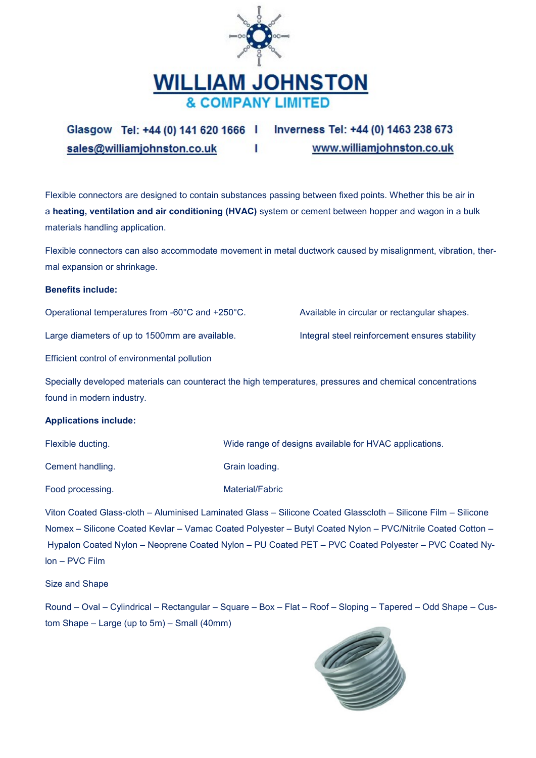

Glasgow Tel: +44 (0) 141 620 1666 | Inverness Tel: +44 (0) 1463 238 673 www.williamjohnston.co.uk sales@williamjohnston.co.uk Т

Flexible connectors are designed to contain substances passing between fixed points. Whether this be air in a heating, ventilation and air conditioning (HVAC) system or cement between hopper and wagon in a bulk materials handling application.

Flexible connectors can also accommodate movement in metal ductwork caused by misalignment, vibration, thermal expansion or shrinkage.

## **Benefits include:**

Operational temperatures from -60°C and +250°C.

Large diameters of up to 1500mm are available.

Available in circular or rectangular shapes.

Integral steel reinforcement ensures stability

Efficient control of environmental pollution

Specially developed materials can counteract the high temperatures, pressures and chemical concentrations found in modern industry.

# **Applications include:**

| Flexible ducting. | Wide range of designs available for HVAC applications. |
|-------------------|--------------------------------------------------------|
| Cement handling.  | Grain loading.                                         |
| Food processing.  | Material/Fabric                                        |

Viton Coated Glass-cloth - Aluminised Laminated Glass - Silicone Coated Glasscloth - Silicone Film - Silicone Nomex - Silicone Coated Kevlar - Vamac Coated Polyester - Butyl Coated Nylon - PVC/Nitrile Coated Cotton -Hypalon Coated Nylon - Neoprene Coated Nylon - PU Coated PET - PVC Coated Polyester - PVC Coated Ny $lon - PVC$  Film

Size and Shape

Round – Oval – Cylindrical – Rectangular – Square – Box – Flat – Roof – Sloping – Tapered – Odd Shape – Custom Shape - Large (up to 5m) - Small (40mm)

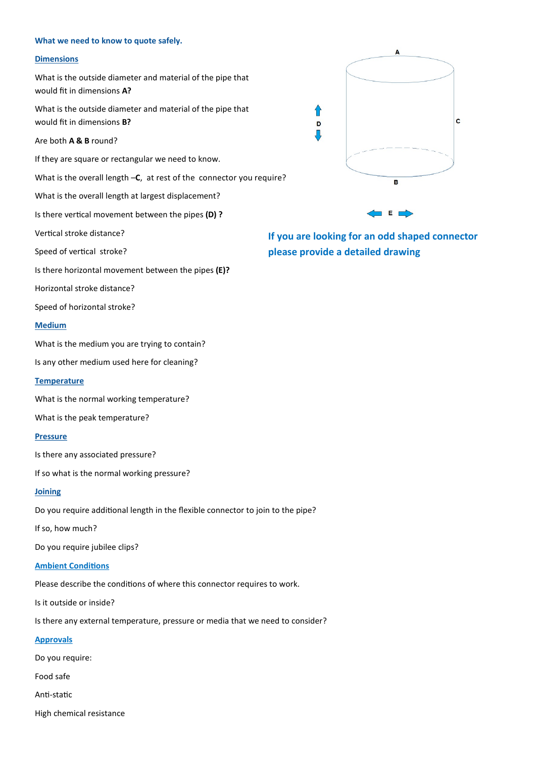#### What we need to know to quote safely.

### **Dimensions**

What is the outside diameter and material of the pipe that would fit in dimensions A?

What is the outside diameter and material of the pipe that would fit in dimensions **B?** 

Are both A & B round?

If they are square or rectangular we need to know.

What is the overall length -C, at rest of the connector you require?

What is the overall length at largest displacement?

Is there vertical movement between the pipes (D) ?

Vertical stroke distance?

Speed of vertical stroke?

Is there horizontal movement between the pipes (E)?

Horizontal stroke distance?

Speed of horizontal stroke?

#### Medium

What is the medium you are trying to contain?

Is any other medium used here for cleaning?

**Temperature** 

What is the normal working temperature?

What is the peak temperature?

### **Pressure**

Is there any associated pressure?

If so what is the normal working pressure?

### Joining

Do you require additional length in the flexible connector to join to the pipe?

If so, how much?

Do you require jubilee clips?

### **Ambient Conditions**

Please describe the conditions of where this connector requires to work.

Is it outside or inside?

Is there any external temperature, pressure or media that we need to consider?

#### **Approvals**

Do you require:

Food safe

Anti-static

High chemical resistance



⇑

D Л

If you are looking for an odd shaped connector please provide a detailed drawing